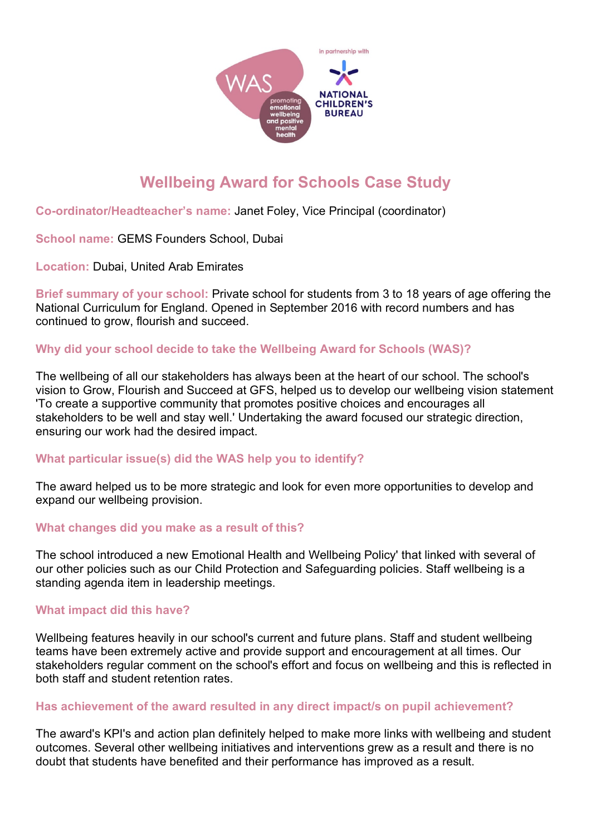

# **Wellbeing Award for Schools Case Study**

**Co-ordinator/Headteacher's name:** Janet Foley, Vice Principal (coordinator)

**School name:** GEMS Founders School, Dubai

**Location:** Dubai, United Arab Emirates

**Brief summary of your school:** Private school for students from 3 to 18 years of age offering the National Curriculum for England. Opened in September 2016 with record numbers and has continued to grow, flourish and succeed.

## **Why did your school decide to take the Wellbeing Award for Schools (WAS)?**

The wellbeing of all our stakeholders has always been at the heart of our school. The school's vision to Grow, Flourish and Succeed at GFS, helped us to develop our wellbeing vision statement 'To create a supportive community that promotes positive choices and encourages all stakeholders to be well and stay well.' Undertaking the award focused our strategic direction, ensuring our work had the desired impact.

## **What particular issue(s) did the WAS help you to identify?**

The award helped us to be more strategic and look for even more opportunities to develop and expand our wellbeing provision.

## **What changes did you make as a result of this?**

The school introduced a new Emotional Health and Wellbeing Policy' that linked with several of our other policies such as our Child Protection and Safeguarding policies. Staff wellbeing is a standing agenda item in leadership meetings.

## **What impact did this have?**

Wellbeing features heavily in our school's current and future plans. Staff and student wellbeing teams have been extremely active and provide support and encouragement at all times. Our stakeholders regular comment on the school's effort and focus on wellbeing and this is reflected in both staff and student retention rates.

## **Has achievement of the award resulted in any direct impact/s on pupil achievement?**

The award's KPI's and action plan definitely helped to make more links with wellbeing and student outcomes. Several other wellbeing initiatives and interventions grew as a result and there is no doubt that students have benefited and their performance has improved as a result.